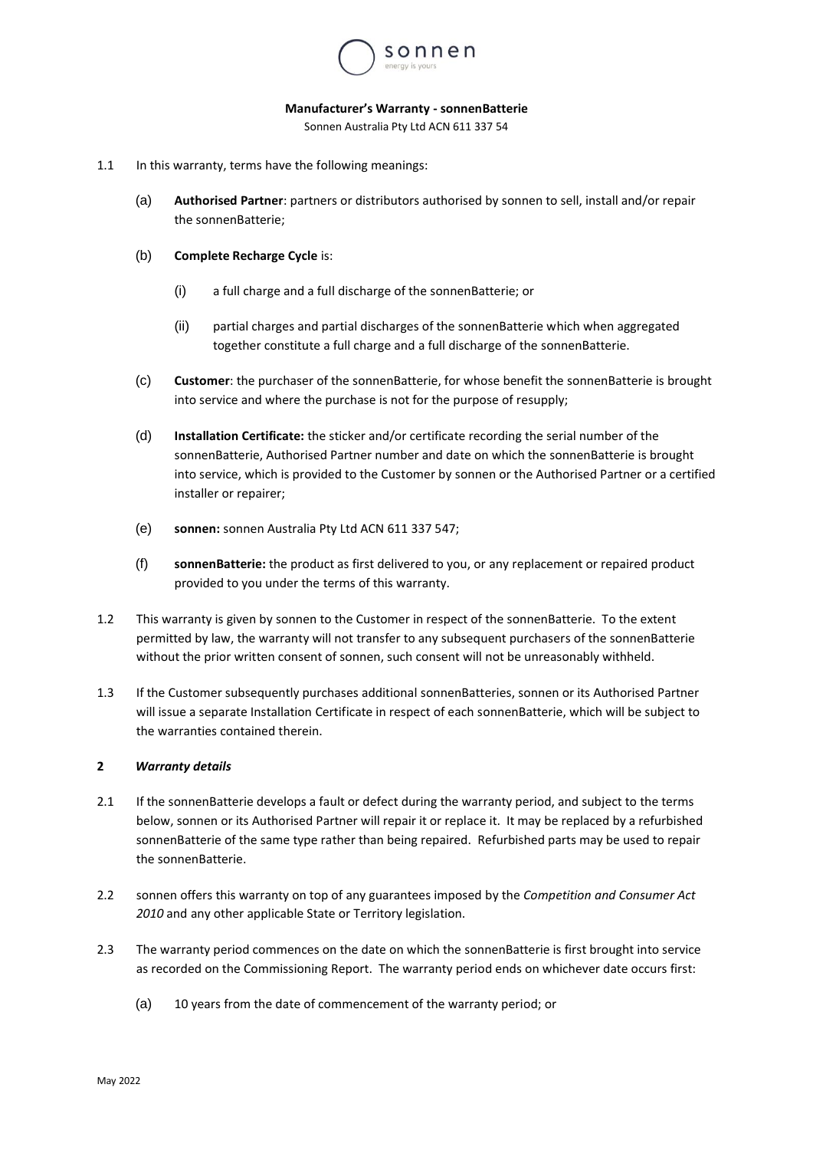

#### **Manufacturer's Warranty - sonnenBatterie**

Sonnen Australia Pty Ltd ACN 611 337 54

- 1.1 In this warranty, terms have the following meanings:
	- (a) **Authorised Partner**: partners or distributors authorised by sonnen to sell, install and/or repair the sonnenBatterie;
	- (b) **Complete Recharge Cycle** is:
		- (i) a full charge and a full discharge of the sonnenBatterie; or
		- (ii) partial charges and partial discharges of the sonnenBatterie which when aggregated together constitute a full charge and a full discharge of the sonnenBatterie.
	- (c) **Customer**: the purchaser of the sonnenBatterie, for whose benefit the sonnenBatterie is brought into service and where the purchase is not for the purpose of resupply;
	- (d) **Installation Certificate:** the sticker and/or certificate recording the serial number of the sonnenBatterie, Authorised Partner number and date on which the sonnenBatterie is brought into service, which is provided to the Customer by sonnen or the Authorised Partner or a certified installer or repairer;
	- (e) **sonnen:** sonnen Australia Pty Ltd ACN 611 337 547;
	- (f) **sonnenBatterie:** the product as first delivered to you, or any replacement or repaired product provided to you under the terms of this warranty.
- 1.2 This warranty is given by sonnen to the Customer in respect of the sonnenBatterie. To the extent permitted by law, the warranty will not transfer to any subsequent purchasers of the sonnenBatterie without the prior written consent of sonnen, such consent will not be unreasonably withheld.
- 1.3 If the Customer subsequently purchases additional sonnenBatteries, sonnen or its Authorised Partner will issue a separate Installation Certificate in respect of each sonnenBatterie, which will be subject to the warranties contained therein.

# **2** *Warranty details*

- 2.1 If the sonnenBatterie develops a fault or defect during the warranty period, and subject to the terms below, sonnen or its Authorised Partner will repair it or replace it. It may be replaced by a refurbished sonnenBatterie of the same type rather than being repaired. Refurbished parts may be used to repair the sonnenBatterie.
- 2.2 sonnen offers this warranty on top of any guarantees imposed by the *Competition and Consumer Act 2010* and any other applicable State or Territory legislation.
- 2.3 The warranty period commences on the date on which the sonnenBatterie is first brought into service as recorded on the Commissioning Report. The warranty period ends on whichever date occurs first:
	- (a) 10 years from the date of commencement of the warranty period; or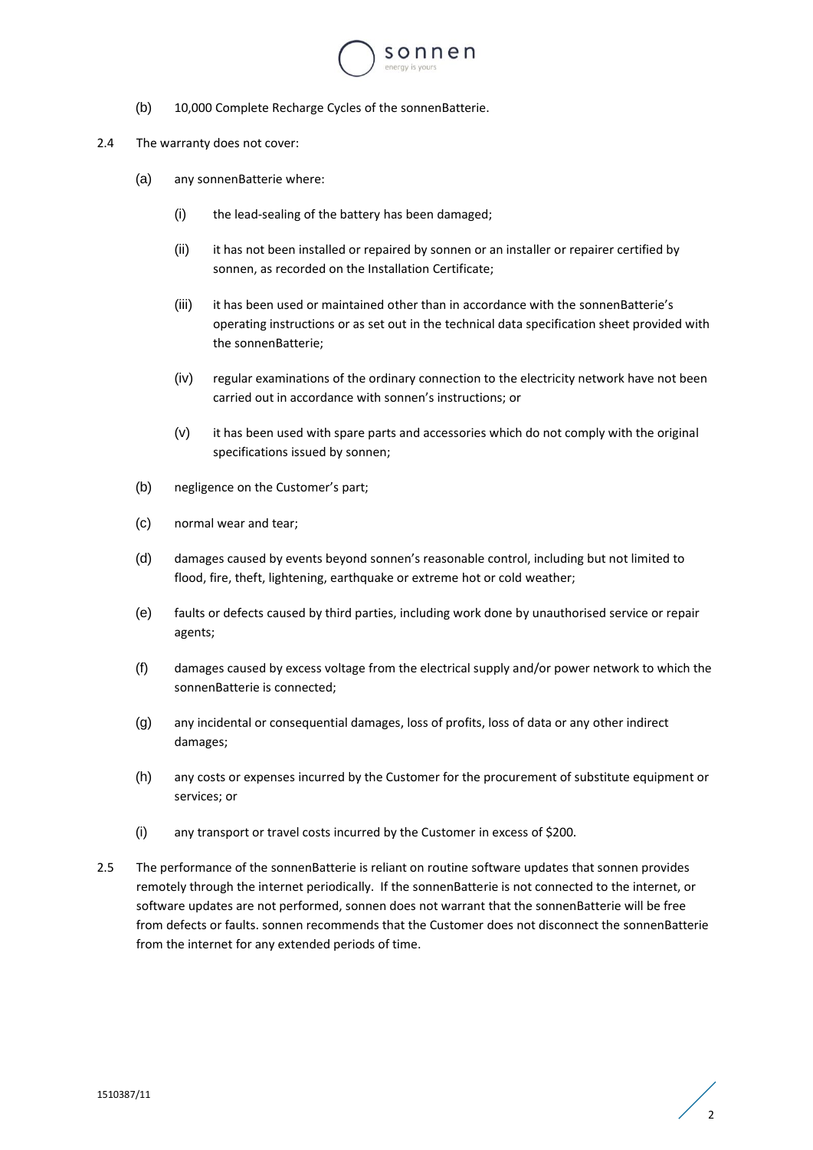

- (b) 10,000 Complete Recharge Cycles of the sonnenBatterie.
- 2.4 The warranty does not cover:
	- (a) any sonnenBatterie where:
		- (i) the lead-sealing of the battery has been damaged;
		- (ii) it has not been installed or repaired by sonnen or an installer or repairer certified by sonnen, as recorded on the Installation Certificate;
		- (iii) it has been used or maintained other than in accordance with the sonnenBatterie's operating instructions or as set out in the technical data specification sheet provided with the sonnenBatterie;
		- (iv) regular examinations of the ordinary connection to the electricity network have not been carried out in accordance with sonnen's instructions; or
		- (v) it has been used with spare parts and accessories which do not comply with the original specifications issued by sonnen;
	- (b) negligence on the Customer's part;
	- (c) normal wear and tear;
	- (d) damages caused by events beyond sonnen's reasonable control, including but not limited to flood, fire, theft, lightening, earthquake or extreme hot or cold weather;
	- (e) faults or defects caused by third parties, including work done by unauthorised service or repair agents;
	- (f) damages caused by excess voltage from the electrical supply and/or power network to which the sonnenBatterie is connected;
	- (g) any incidental or consequential damages, loss of profits, loss of data or any other indirect damages;
	- (h) any costs or expenses incurred by the Customer for the procurement of substitute equipment or services; or
	- (i) any transport or travel costs incurred by the Customer in excess of \$200.
- 2.5 The performance of the sonnenBatterie is reliant on routine software updates that sonnen provides remotely through the internet periodically. If the sonnenBatterie is not connected to the internet, or software updates are not performed, sonnen does not warrant that the sonnenBatterie will be free from defects or faults. sonnen recommends that the Customer does not disconnect the sonnenBatterie from the internet for any extended periods of time.

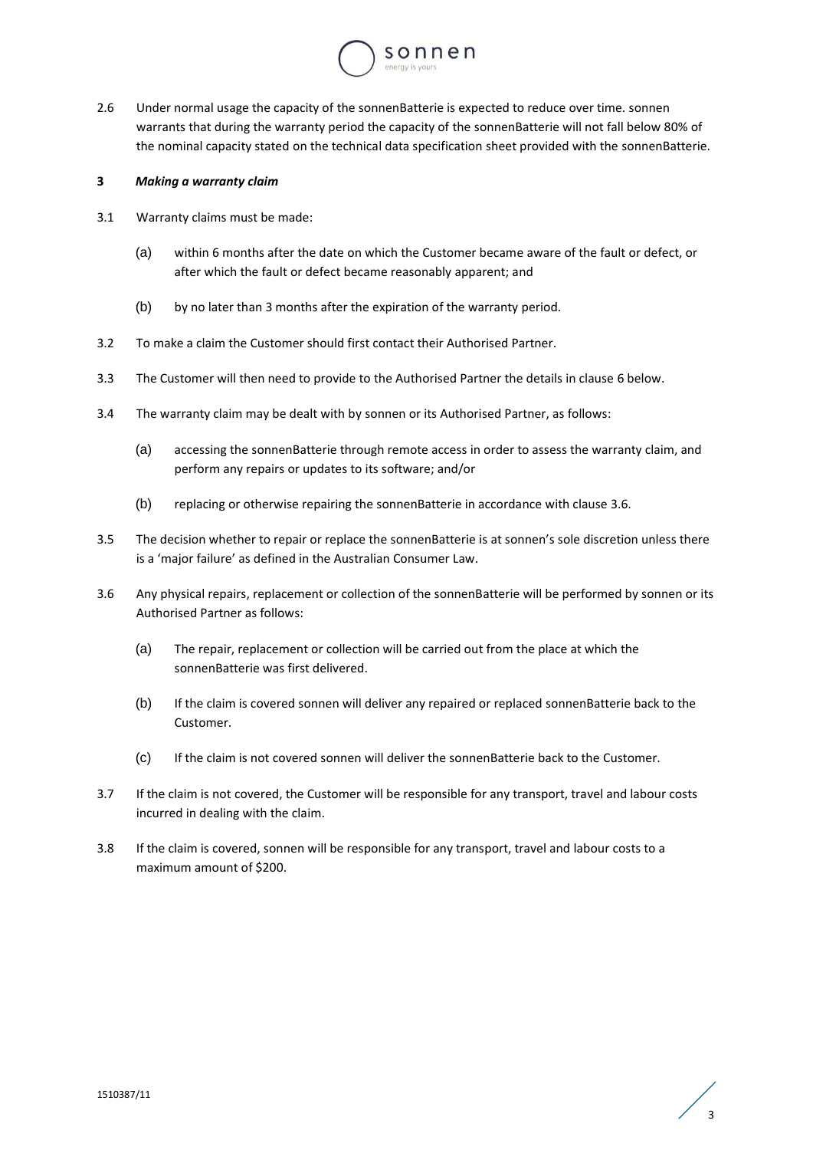

2.6 Under normal usage the capacity of the sonnenBatterie is expected to reduce over time. sonnen warrants that during the warranty period the capacity of the sonnenBatterie will not fall below 80% of the nominal capacity stated on the technical data specification sheet provided with the sonnenBatterie.

## **3** *Making a warranty claim*

- 3.1 Warranty claims must be made:
	- (a) within 6 months after the date on which the Customer became aware of the fault or defect, or after which the fault or defect became reasonably apparent; and
	- (b) by no later than 3 months after the expiration of the warranty period.
- 3.2 To make a claim the Customer should first contact their Authorised Partner.
- 3.3 The Customer will then need to provide to the Authorised Partner the details in clause [6](#page-3-0) below.
- 3.4 The warranty claim may be dealt with by sonnen or its Authorised Partner, as follows:
	- (a) accessing the sonnenBatterie through remote access in order to assess the warranty claim, and perform any repairs or updates to its software; and/or
	- (b) replacing or otherwise repairing the sonnenBatterie in accordance with claus[e 3.6.](#page-2-0)
- 3.5 The decision whether to repair or replace the sonnenBatterie is at sonnen's sole discretion unless there is a 'major failure' as defined in the Australian Consumer Law.
- <span id="page-2-0"></span>3.6 Any physical repairs, replacement or collection of the sonnenBatterie will be performed by sonnen or its Authorised Partner as follows:
	- (a) The repair, replacement or collection will be carried out from the place at which the sonnenBatterie was first delivered.
	- (b) If the claim is covered sonnen will deliver any repaired or replaced sonnenBatterie back to the Customer.
	- (c) If the claim is not covered sonnen will deliver the sonnenBatterie back to the Customer.
- 3.7 If the claim is not covered, the Customer will be responsible for any transport, travel and labour costs incurred in dealing with the claim.
- 3.8 If the claim is covered, sonnen will be responsible for any transport, travel and labour costs to a maximum amount of \$200.